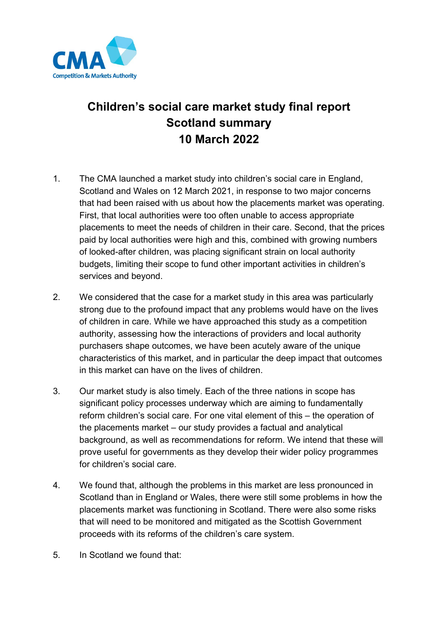

# **Children's social care market study final report Scotland summary 10 March 2022**

- 1. The CMA launched a market study into children's social care in England, Scotland and Wales on 12 March 2021, in response to two major concerns that had been raised with us about how the placements market was operating. First, that local authorities were too often unable to access appropriate placements to meet the needs of children in their care. Second, that the prices paid by local authorities were high and this, combined with growing numbers of looked-after children, was placing significant strain on local authority budgets, limiting their scope to fund other important activities in children's services and beyond.
- 2. We considered that the case for a market study in this area was particularly strong due to the profound impact that any problems would have on the lives of children in care. While we have approached this study as a competition authority, assessing how the interactions of providers and local authority purchasers shape outcomes, we have been acutely aware of the unique characteristics of this market, and in particular the deep impact that outcomes in this market can have on the lives of children.
- 3. Our market study is also timely. Each of the three nations in scope has significant policy processes underway which are aiming to fundamentally reform children's social care. For one vital element of this – the operation of the placements market – our study provides a factual and analytical background, as well as recommendations for reform. We intend that these will prove useful for governments as they develop their wider policy programmes for children's social care.
- 4. We found that, although the problems in this market are less pronounced in Scotland than in England or Wales, there were still some problems in how the placements market was functioning in Scotland. There were also some risks that will need to be monitored and mitigated as the Scottish Government proceeds with its reforms of the children's care system.
- 5. In Scotland we found that: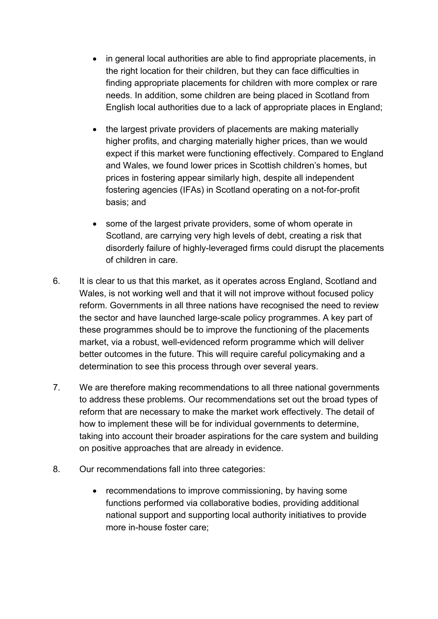- in general local authorities are able to find appropriate placements, in the right location for their children, but they can face difficulties in finding appropriate placements for children with more complex or rare needs. In addition, some children are being placed in Scotland from English local authorities due to a lack of appropriate places in England;
- the largest private providers of placements are making materially higher profits, and charging materially higher prices, than we would expect if this market were functioning effectively. Compared to England and Wales, we found lower prices in Scottish children's homes, but prices in fostering appear similarly high, despite all independent fostering agencies (IFAs) in Scotland operating on a not-for-profit basis; and
- some of the largest private providers, some of whom operate in Scotland, are carrying very high levels of debt, creating a risk that disorderly failure of highly-leveraged firms could disrupt the placements of children in care.
- 6. It is clear to us that this market, as it operates across England, Scotland and Wales, is not working well and that it will not improve without focused policy reform. Governments in all three nations have recognised the need to review the sector and have launched large-scale policy programmes. A key part of these programmes should be to improve the functioning of the placements market, via a robust, well-evidenced reform programme which will deliver better outcomes in the future. This will require careful policymaking and a determination to see this process through over several years.
- 7. We are therefore making recommendations to all three national governments to address these problems. Our recommendations set out the broad types of reform that are necessary to make the market work effectively. The detail of how to implement these will be for individual governments to determine, taking into account their broader aspirations for the care system and building on positive approaches that are already in evidence.
- 8. Our recommendations fall into three categories:
	- recommendations to improve commissioning, by having some functions performed via collaborative bodies, providing additional national support and supporting local authority initiatives to provide more in-house foster care;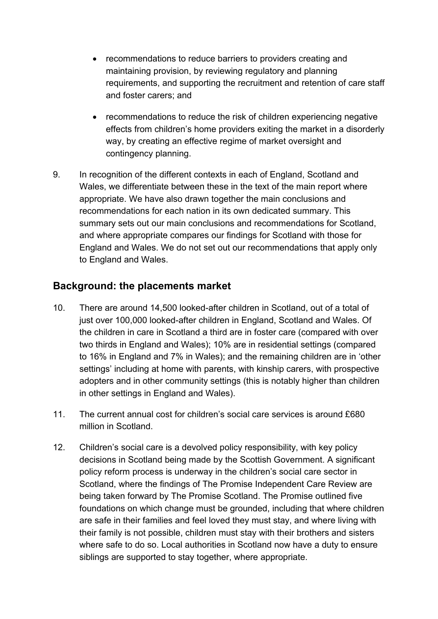- recommendations to reduce barriers to providers creating and maintaining provision, by reviewing regulatory and planning requirements, and supporting the recruitment and retention of care staff and foster carers; and
- recommendations to reduce the risk of children experiencing negative effects from children's home providers exiting the market in a disorderly way, by creating an effective regime of market oversight and contingency planning.
- 9. In recognition of the different contexts in each of England, Scotland and Wales, we differentiate between these in the text of the main report where appropriate. We have also drawn together the main conclusions and recommendations for each nation in its own dedicated summary. This summary sets out our main conclusions and recommendations for Scotland, and where appropriate compares our findings for Scotland with those for England and Wales. We do not set out our recommendations that apply only to England and Wales.

#### **Background: the placements market**

- 10. There are around 14,500 looked-after children in Scotland, out of a total of just over 100,000 looked-after children in England, Scotland and Wales. Of the children in care in Scotland a third are in foster care (compared with over two thirds in England and Wales); 10% are in residential settings (compared to 16% in England and 7% in Wales); and the remaining children are in 'other settings' including at home with parents, with kinship carers, with prospective adopters and in other community settings (this is notably higher than children in other settings in England and Wales).
- 11. The current annual cost for children's social care services is around £680 million in Scotland.
- 12. Children's social care is a devolved policy responsibility, with key policy decisions in Scotland being made by the Scottish Government. A significant policy reform process is underway in the children's social care sector in Scotland, where the findings of The Promise Independent Care Review are being taken forward by The Promise Scotland. The Promise outlined five foundations on which change must be grounded, including that where children are safe in their families and feel loved they must stay, and where living with their family is not possible, children must stay with their brothers and sisters where safe to do so. Local authorities in Scotland now have a duty to ensure siblings are supported to stay together, where appropriate.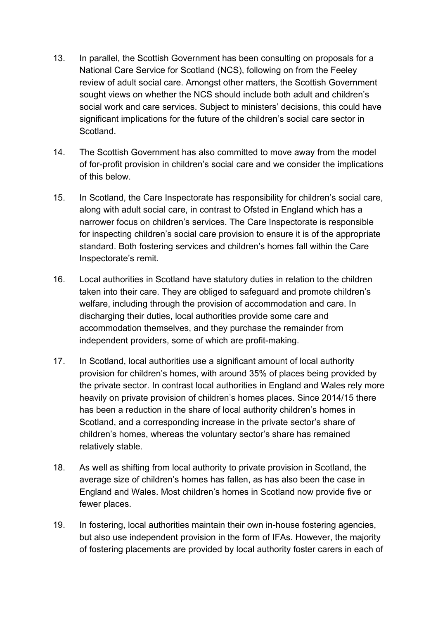- 13. In parallel, the Scottish Government has been consulting on proposals for a National Care Service for Scotland (NCS), following on from the Feeley review of adult social care. Amongst other matters, the Scottish Government sought views on whether the NCS should include both adult and children's social work and care services. Subject to ministers' decisions, this could have significant implications for the future of the children's social care sector in Scotland.
- 14. The Scottish Government has also committed to move away from the model of for-profit provision in children's social care and we consider the implications of this below.
- 15. In Scotland, the Care Inspectorate has responsibility for children's social care, along with adult social care, in contrast to Ofsted in England which has a narrower focus on children's services. The Care Inspectorate is responsible for inspecting children's social care provision to ensure it is of the appropriate standard. Both fostering services and children's homes fall within the Care Inspectorate's remit.
- 16. Local authorities in Scotland have statutory duties in relation to the children taken into their care. They are obliged to safeguard and promote children's welfare, including through the provision of accommodation and care. In discharging their duties, local authorities provide some care and accommodation themselves, and they purchase the remainder from independent providers, some of which are profit-making.
- 17. In Scotland, local authorities use a significant amount of local authority provision for children's homes, with around 35% of places being provided by the private sector. In contrast local authorities in England and Wales rely more heavily on private provision of children's homes places. Since 2014/15 there has been a reduction in the share of local authority children's homes in Scotland, and a corresponding increase in the private sector's share of children's homes, whereas the voluntary sector's share has remained relatively stable.
- 18. As well as shifting from local authority to private provision in Scotland, the average size of children's homes has fallen, as has also been the case in England and Wales. Most children's homes in Scotland now provide five or fewer places.
- 19. In fostering, local authorities maintain their own in-house fostering agencies, but also use independent provision in the form of IFAs. However, the majority of fostering placements are provided by local authority foster carers in each of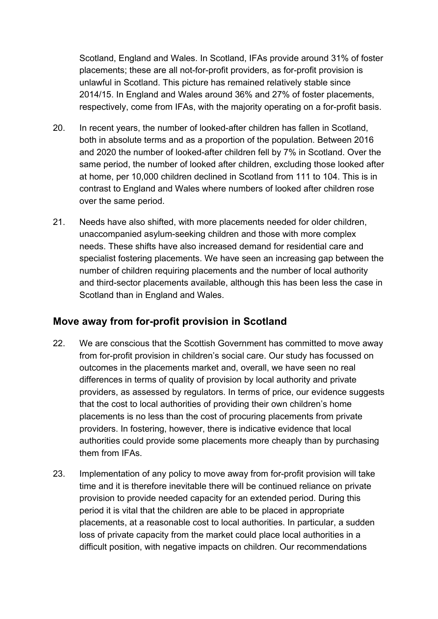Scotland, England and Wales. In Scotland, IFAs provide around 31% of foster placements; these are all not-for-profit providers, as for-profit provision is unlawful in Scotland. This picture has remained relatively stable since 2014/15. In England and Wales around 36% and 27% of foster placements, respectively, come from IFAs, with the majority operating on a for-profit basis.

- 20. In recent years, the number of looked-after children has fallen in Scotland, both in absolute terms and as a proportion of the population. Between 2016 and 2020 the number of looked-after children fell by 7% in Scotland. Over the same period, the number of looked after children, excluding those looked after at home, per 10,000 children declined in Scotland from 111 to 104. This is in contrast to England and Wales where numbers of looked after children rose over the same period.
- 21. Needs have also shifted, with more placements needed for older children, unaccompanied asylum-seeking children and those with more complex needs. These shifts have also increased demand for residential care and specialist fostering placements. We have seen an increasing gap between the number of children requiring placements and the number of local authority and third-sector placements available, although this has been less the case in Scotland than in England and Wales.

### **Move away from for-profit provision in Scotland**

- 22. We are conscious that the Scottish Government has committed to move away from for-profit provision in children's social care. Our study has focussed on outcomes in the placements market and, overall, we have seen no real differences in terms of quality of provision by local authority and private providers, as assessed by regulators. In terms of price, our evidence suggests that the cost to local authorities of providing their own children's home placements is no less than the cost of procuring placements from private providers. In fostering, however, there is indicative evidence that local authorities could provide some placements more cheaply than by purchasing them from IFAs.
- 23. Implementation of any policy to move away from for-profit provision will take time and it is therefore inevitable there will be continued reliance on private provision to provide needed capacity for an extended period. During this period it is vital that the children are able to be placed in appropriate placements, at a reasonable cost to local authorities. In particular, a sudden loss of private capacity from the market could place local authorities in a difficult position, with negative impacts on children. Our recommendations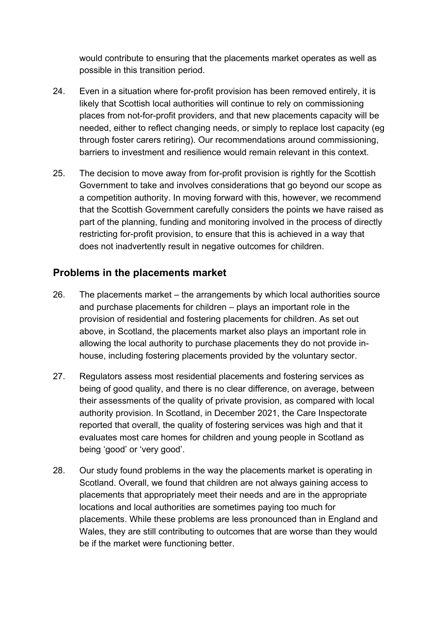would contribute to ensuring that the placements market operates as well as possible in this transition period.

- 24. Even in a situation where for-profit provision has been removed entirely, it is likely that Scottish local authorities will continue to rely on commissioning places from not-for-profit providers, and that new placements capacity will be needed, either to reflect changing needs, or simply to replace lost capacity (eg through foster carers retiring). Our recommendations around commissioning, barriers to investment and resilience would remain relevant in this context.
- 25. The decision to move away from for-profit provision is rightly for the Scottish Government to take and involves considerations that go beyond our scope as a competition authority. In moving forward with this, however, we recommend that the Scottish Government carefully considers the points we have raised as part of the planning, funding and monitoring involved in the process of directly restricting for-profit provision, to ensure that this is achieved in a way that does not inadvertently result in negative outcomes for children.

#### **Problems in the placements market**

- 26. The placements market the arrangements by which local authorities source and purchase placements for children – plays an important role in the provision of residential and fostering placements for children. As set out above, in Scotland, the placements market also plays an important role in allowing the local authority to purchase placements they do not provide inhouse, including fostering placements provided by the voluntary sector.
- 27. Regulators assess most residential placements and fostering services as being of good quality, and there is no clear difference, on average, between their assessments of the quality of private provision, as compared with local authority provision. In Scotland, in December 2021, the Care Inspectorate reported that overall, the quality of fostering services was high and that it evaluates most care homes for children and young people in Scotland as being 'good' or 'very good'.
- 28. Our study found problems in the way the placements market is operating in Scotland. Overall, we found that children are not always gaining access to placements that appropriately meet their needs and are in the appropriate locations and local authorities are sometimes paying too much for placements. While these problems are less pronounced than in England and Wales, they are still contributing to outcomes that are worse than they would be if the market were functioning better.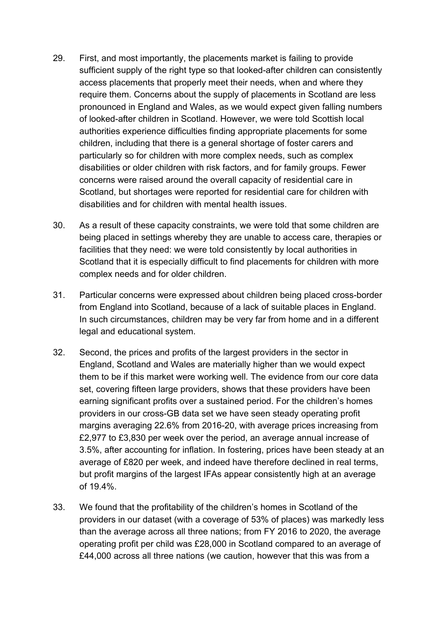- 29. First, and most importantly, the placements market is failing to provide sufficient supply of the right type so that looked-after children can consistently access placements that properly meet their needs, when and where they require them. Concerns about the supply of placements in Scotland are less pronounced in England and Wales, as we would expect given falling numbers of looked-after children in Scotland. However, we were told Scottish local authorities experience difficulties finding appropriate placements for some children, including that there is a general shortage of foster carers and particularly so for children with more complex needs, such as complex disabilities or older children with risk factors, and for family groups. Fewer concerns were raised around the overall capacity of residential care in Scotland, but shortages were reported for residential care for children with disabilities and for children with mental health issues.
- 30. As a result of these capacity constraints, we were told that some children are being placed in settings whereby they are unable to access care, therapies or facilities that they need: we were told consistently by local authorities in Scotland that it is especially difficult to find placements for children with more complex needs and for older children.
- 31. Particular concerns were expressed about children being placed cross-border from England into Scotland, because of a lack of suitable places in England. In such circumstances, children may be very far from home and in a different legal and educational system.
- 32. Second, the prices and profits of the largest providers in the sector in England, Scotland and Wales are materially higher than we would expect them to be if this market were working well. The evidence from our core data set, covering fifteen large providers, shows that these providers have been earning significant profits over a sustained period. For the children's homes providers in our cross-GB data set we have seen steady operating profit margins averaging 22.6% from 2016-20, with average prices increasing from £2,977 to £3,830 per week over the period, an average annual increase of 3.5%, after accounting for inflation. In fostering, prices have been steady at an average of £820 per week, and indeed have therefore declined in real terms, but profit margins of the largest IFAs appear consistently high at an average of 19.4%.
- 33. We found that the profitability of the children's homes in Scotland of the providers in our dataset (with a coverage of 53% of places) was markedly less than the average across all three nations; from FY 2016 to 2020, the average operating profit per child was £28,000 in Scotland compared to an average of £44,000 across all three nations (we caution, however that this was from a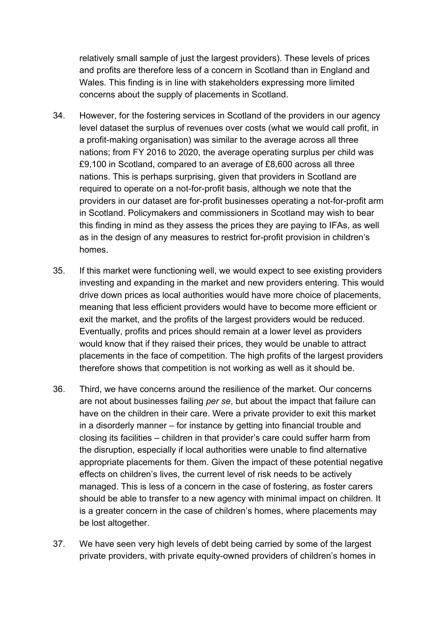relatively small sample of just the largest providers). These levels of prices and profits are therefore less of a concern in Scotland than in England and Wales. This finding is in line with stakeholders expressing more limited concerns about the supply of placements in Scotland.

- 34. However, for the fostering services in Scotland of the providers in our agency level dataset the surplus of revenues over costs (what we would call profit, in a profit-making organisation) was similar to the average across all three nations; from FY 2016 to 2020, the average operating surplus per child was £9,100 in Scotland, compared to an average of £8,600 across all three nations. This is perhaps surprising, given that providers in Scotland are required to operate on a not-for-profit basis, although we note that the providers in our dataset are for-profit businesses operating a not-for-profit arm in Scotland. Policymakers and commissioners in Scotland may wish to bear this finding in mind as they assess the prices they are paying to IFAs, as well as in the design of any measures to restrict for-profit provision in children's homes.
- 35. If this market were functioning well, we would expect to see existing providers investing and expanding in the market and new providers entering. This would drive down prices as local authorities would have more choice of placements, meaning that less efficient providers would have to become more efficient or exit the market, and the profits of the largest providers would be reduced. Eventually, profits and prices should remain at a lower level as providers would know that if they raised their prices, they would be unable to attract placements in the face of competition. The high profits of the largest providers therefore shows that competition is not working as well as it should be.
- 36. Third, we have concerns around the resilience of the market. Our concerns are not about businesses failing *per se*, but about the impact that failure can have on the children in their care. Were a private provider to exit this market in a disorderly manner – for instance by getting into financial trouble and closing its facilities – children in that provider's care could suffer harm from the disruption, especially if local authorities were unable to find alternative appropriate placements for them. Given the impact of these potential negative effects on children's lives, the current level of risk needs to be actively managed. This is less of a concern in the case of fostering, as foster carers should be able to transfer to a new agency with minimal impact on children. It is a greater concern in the case of children's homes, where placements may be lost altogether.
- 37. We have seen very high levels of debt being carried by some of the largest private providers, with private equity-owned providers of children's homes in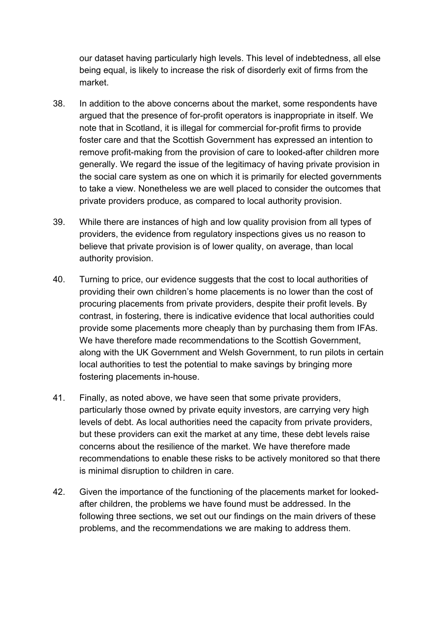our dataset having particularly high levels. This level of indebtedness, all else being equal, is likely to increase the risk of disorderly exit of firms from the market.

- 38. In addition to the above concerns about the market, some respondents have argued that the presence of for-profit operators is inappropriate in itself. We note that in Scotland, it is illegal for commercial for-profit firms to provide foster care and that the Scottish Government has expressed an intention to remove profit-making from the provision of care to looked-after children more generally. We regard the issue of the legitimacy of having private provision in the social care system as one on which it is primarily for elected governments to take a view. Nonetheless we are well placed to consider the outcomes that private providers produce, as compared to local authority provision.
- 39. While there are instances of high and low quality provision from all types of providers, the evidence from regulatory inspections gives us no reason to believe that private provision is of lower quality, on average, than local authority provision.
- 40. Turning to price, our evidence suggests that the cost to local authorities of providing their own children's home placements is no lower than the cost of procuring placements from private providers, despite their profit levels. By contrast, in fostering, there is indicative evidence that local authorities could provide some placements more cheaply than by purchasing them from IFAs. We have therefore made recommendations to the Scottish Government, along with the UK Government and Welsh Government, to run pilots in certain local authorities to test the potential to make savings by bringing more fostering placements in-house.
- 41. Finally, as noted above, we have seen that some private providers, particularly those owned by private equity investors, are carrying very high levels of debt. As local authorities need the capacity from private providers, but these providers can exit the market at any time, these debt levels raise concerns about the resilience of the market. We have therefore made recommendations to enable these risks to be actively monitored so that there is minimal disruption to children in care.
- 42. Given the importance of the functioning of the placements market for lookedafter children, the problems we have found must be addressed. In the following three sections, we set out our findings on the main drivers of these problems, and the recommendations we are making to address them.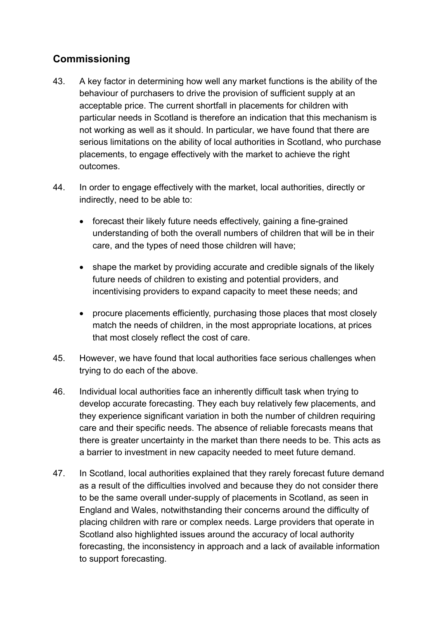# **Commissioning**

- 43. A key factor in determining how well any market functions is the ability of the behaviour of purchasers to drive the provision of sufficient supply at an acceptable price. The current shortfall in placements for children with particular needs in Scotland is therefore an indication that this mechanism is not working as well as it should. In particular, we have found that there are serious limitations on the ability of local authorities in Scotland, who purchase placements, to engage effectively with the market to achieve the right outcomes.
- 44. In order to engage effectively with the market, local authorities, directly or indirectly, need to be able to:
	- forecast their likely future needs effectively, gaining a fine-grained understanding of both the overall numbers of children that will be in their care, and the types of need those children will have;
	- shape the market by providing accurate and credible signals of the likely future needs of children to existing and potential providers, and incentivising providers to expand capacity to meet these needs; and
	- procure placements efficiently, purchasing those places that most closely match the needs of children, in the most appropriate locations, at prices that most closely reflect the cost of care.
- 45. However, we have found that local authorities face serious challenges when trying to do each of the above.
- 46. Individual local authorities face an inherently difficult task when trying to develop accurate forecasting. They each buy relatively few placements, and they experience significant variation in both the number of children requiring care and their specific needs. The absence of reliable forecasts means that there is greater uncertainty in the market than there needs to be. This acts as a barrier to investment in new capacity needed to meet future demand.
- 47. In Scotland, local authorities explained that they rarely forecast future demand as a result of the difficulties involved and because they do not consider there to be the same overall under-supply of placements in Scotland, as seen in England and Wales, notwithstanding their concerns around the difficulty of placing children with rare or complex needs. Large providers that operate in Scotland also highlighted issues around the accuracy of local authority forecasting, the inconsistency in approach and a lack of available information to support forecasting.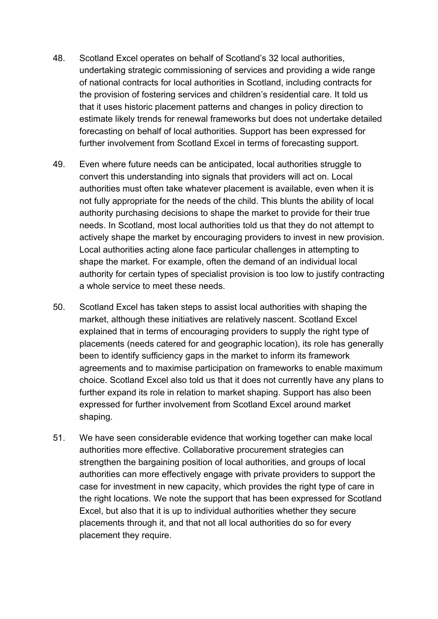- 48. Scotland Excel operates on behalf of Scotland's 32 local authorities, undertaking strategic commissioning of services and providing a wide range of national contracts for local authorities in Scotland, including contracts for the provision of fostering services and children's residential care. It told us that it uses historic placement patterns and changes in policy direction to estimate likely trends for renewal frameworks but does not undertake detailed forecasting on behalf of local authorities. Support has been expressed for further involvement from Scotland Excel in terms of forecasting support.
- 49. Even where future needs can be anticipated, local authorities struggle to convert this understanding into signals that providers will act on. Local authorities must often take whatever placement is available, even when it is not fully appropriate for the needs of the child. This blunts the ability of local authority purchasing decisions to shape the market to provide for their true needs. In Scotland, most local authorities told us that they do not attempt to actively shape the market by encouraging providers to invest in new provision. Local authorities acting alone face particular challenges in attempting to shape the market. For example, often the demand of an individual local authority for certain types of specialist provision is too low to justify contracting a whole service to meet these needs.
- 50. Scotland Excel has taken steps to assist local authorities with shaping the market, although these initiatives are relatively nascent. Scotland Excel explained that in terms of encouraging providers to supply the right type of placements (needs catered for and geographic location), its role has generally been to identify sufficiency gaps in the market to inform its framework agreements and to maximise participation on frameworks to enable maximum choice. Scotland Excel also told us that it does not currently have any plans to further expand its role in relation to market shaping. Support has also been expressed for further involvement from Scotland Excel around market shaping.
- 51. We have seen considerable evidence that working together can make local authorities more effective. Collaborative procurement strategies can strengthen the bargaining position of local authorities, and groups of local authorities can more effectively engage with private providers to support the case for investment in new capacity, which provides the right type of care in the right locations. We note the support that has been expressed for Scotland Excel, but also that it is up to individual authorities whether they secure placements through it, and that not all local authorities do so for every placement they require.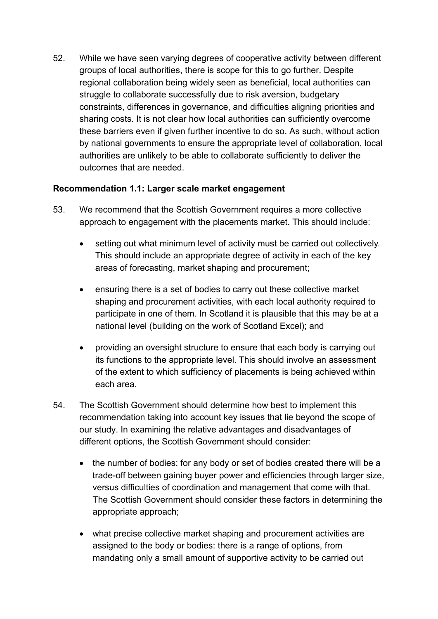52. While we have seen varying degrees of cooperative activity between different groups of local authorities, there is scope for this to go further. Despite regional collaboration being widely seen as beneficial, local authorities can struggle to collaborate successfully due to risk aversion, budgetary constraints, differences in governance, and difficulties aligning priorities and sharing costs. It is not clear how local authorities can sufficiently overcome these barriers even if given further incentive to do so. As such, without action by national governments to ensure the appropriate level of collaboration, local authorities are unlikely to be able to collaborate sufficiently to deliver the outcomes that are needed.

#### **Recommendation 1.1: Larger scale market engagement**

- 53. We recommend that the Scottish Government requires a more collective approach to engagement with the placements market. This should include:
	- setting out what minimum level of activity must be carried out collectively. This should include an appropriate degree of activity in each of the key areas of forecasting, market shaping and procurement;
	- ensuring there is a set of bodies to carry out these collective market shaping and procurement activities, with each local authority required to participate in one of them. In Scotland it is plausible that this may be at a national level (building on the work of Scotland Excel); and
	- providing an oversight structure to ensure that each body is carrying out its functions to the appropriate level. This should involve an assessment of the extent to which sufficiency of placements is being achieved within each area.
- 54. The Scottish Government should determine how best to implement this recommendation taking into account key issues that lie beyond the scope of our study. In examining the relative advantages and disadvantages of different options, the Scottish Government should consider:
	- the number of bodies: for any body or set of bodies created there will be a trade-off between gaining buyer power and efficiencies through larger size, versus difficulties of coordination and management that come with that. The Scottish Government should consider these factors in determining the appropriate approach;
	- what precise collective market shaping and procurement activities are assigned to the body or bodies: there is a range of options, from mandating only a small amount of supportive activity to be carried out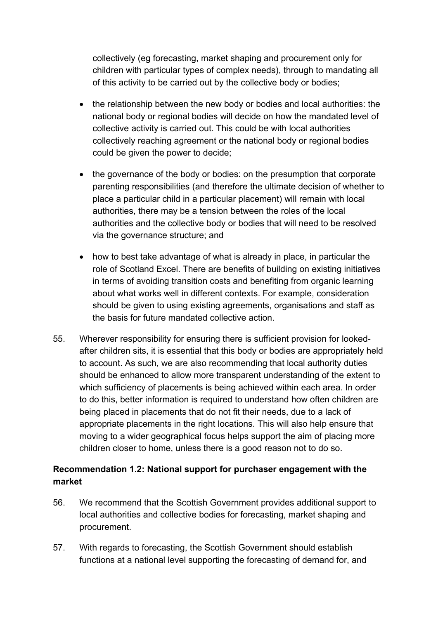collectively (eg forecasting, market shaping and procurement only for children with particular types of complex needs), through to mandating all of this activity to be carried out by the collective body or bodies;

- the relationship between the new body or bodies and local authorities: the national body or regional bodies will decide on how the mandated level of collective activity is carried out. This could be with local authorities collectively reaching agreement or the national body or regional bodies could be given the power to decide;
- the governance of the body or bodies: on the presumption that corporate parenting responsibilities (and therefore the ultimate decision of whether to place a particular child in a particular placement) will remain with local authorities, there may be a tension between the roles of the local authorities and the collective body or bodies that will need to be resolved via the governance structure; and
- how to best take advantage of what is already in place, in particular the role of Scotland Excel. There are benefits of building on existing initiatives in terms of avoiding transition costs and benefiting from organic learning about what works well in different contexts. For example, consideration should be given to using existing agreements, organisations and staff as the basis for future mandated collective action.
- 55. Wherever responsibility for ensuring there is sufficient provision for lookedafter children sits, it is essential that this body or bodies are appropriately held to account. As such, we are also recommending that local authority duties should be enhanced to allow more transparent understanding of the extent to which sufficiency of placements is being achieved within each area. In order to do this, better information is required to understand how often children are being placed in placements that do not fit their needs, due to a lack of appropriate placements in the right locations. This will also help ensure that moving to a wider geographical focus helps support the aim of placing more children closer to home, unless there is a good reason not to do so.

#### **Recommendation 1.2: National support for purchaser engagement with the market**

- 56. We recommend that the Scottish Government provides additional support to local authorities and collective bodies for forecasting, market shaping and procurement.
- 57. With regards to forecasting, the Scottish Government should establish functions at a national level supporting the forecasting of demand for, and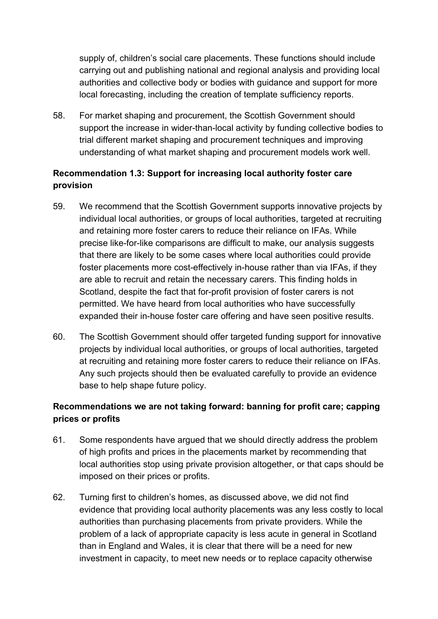supply of, children's social care placements. These functions should include carrying out and publishing national and regional analysis and providing local authorities and collective body or bodies with guidance and support for more local forecasting, including the creation of template sufficiency reports.

58. For market shaping and procurement, the Scottish Government should support the increase in wider-than-local activity by funding collective bodies to trial different market shaping and procurement techniques and improving understanding of what market shaping and procurement models work well.

#### **Recommendation 1.3: Support for increasing local authority foster care provision**

- 59. We recommend that the Scottish Government supports innovative projects by individual local authorities, or groups of local authorities, targeted at recruiting and retaining more foster carers to reduce their reliance on IFAs. While precise like-for-like comparisons are difficult to make, our analysis suggests that there are likely to be some cases where local authorities could provide foster placements more cost-effectively in-house rather than via IFAs, if they are able to recruit and retain the necessary carers. This finding holds in Scotland, despite the fact that for-profit provision of foster carers is not permitted. We have heard from local authorities who have successfully expanded their in-house foster care offering and have seen positive results.
- 60. The Scottish Government should offer targeted funding support for innovative projects by individual local authorities, or groups of local authorities, targeted at recruiting and retaining more foster carers to reduce their reliance on IFAs. Any such projects should then be evaluated carefully to provide an evidence base to help shape future policy.

#### **Recommendations we are not taking forward: banning for profit care; capping prices or profits**

- 61. Some respondents have argued that we should directly address the problem of high profits and prices in the placements market by recommending that local authorities stop using private provision altogether, or that caps should be imposed on their prices or profits.
- 62. Turning first to children's homes, as discussed above, we did not find evidence that providing local authority placements was any less costly to local authorities than purchasing placements from private providers. While the problem of a lack of appropriate capacity is less acute in general in Scotland than in England and Wales, it is clear that there will be a need for new investment in capacity, to meet new needs or to replace capacity otherwise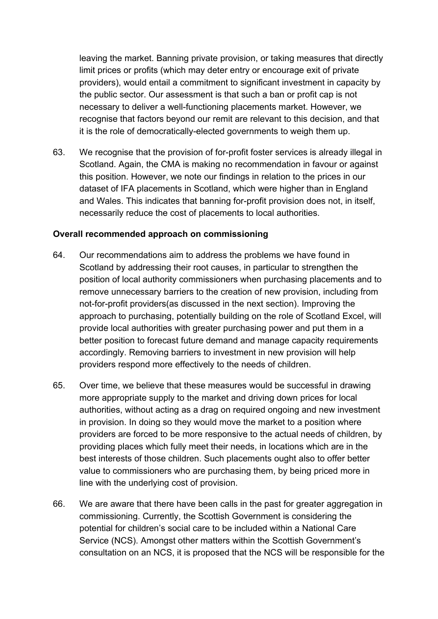leaving the market. Banning private provision, or taking measures that directly limit prices or profits (which may deter entry or encourage exit of private providers), would entail a commitment to significant investment in capacity by the public sector. Our assessment is that such a ban or profit cap is not necessary to deliver a well-functioning placements market. However, we recognise that factors beyond our remit are relevant to this decision, and that it is the role of democratically-elected governments to weigh them up.

63. We recognise that the provision of for-profit foster services is already illegal in Scotland. Again, the CMA is making no recommendation in favour or against this position. However, we note our findings in relation to the prices in our dataset of IFA placements in Scotland, which were higher than in England and Wales. This indicates that banning for-profit provision does not, in itself, necessarily reduce the cost of placements to local authorities.

#### **Overall recommended approach on commissioning**

- 64. Our recommendations aim to address the problems we have found in Scotland by addressing their root causes, in particular to strengthen the position of local authority commissioners when purchasing placements and to remove unnecessary barriers to the creation of new provision, including from not-for-profit providers(as discussed in the next section). Improving the approach to purchasing, potentially building on the role of Scotland Excel, will provide local authorities with greater purchasing power and put them in a better position to forecast future demand and manage capacity requirements accordingly. Removing barriers to investment in new provision will help providers respond more effectively to the needs of children.
- 65. Over time, we believe that these measures would be successful in drawing more appropriate supply to the market and driving down prices for local authorities, without acting as a drag on required ongoing and new investment in provision. In doing so they would move the market to a position where providers are forced to be more responsive to the actual needs of children, by providing places which fully meet their needs, in locations which are in the best interests of those children. Such placements ought also to offer better value to commissioners who are purchasing them, by being priced more in line with the underlying cost of provision.
- 66. We are aware that there have been calls in the past for greater aggregation in commissioning. Currently, the Scottish Government is considering the potential for children's social care to be included within a National Care Service (NCS). Amongst other matters within the Scottish Government's consultation on an NCS, it is proposed that the NCS will be responsible for the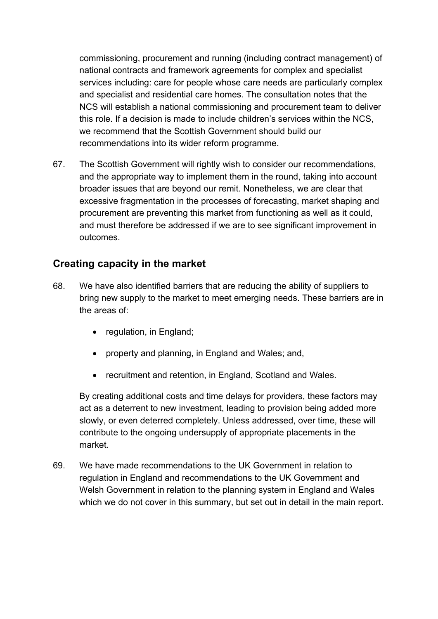commissioning, procurement and running (including contract management) of national contracts and framework agreements for complex and specialist services including: care for people whose care needs are particularly complex and specialist and residential care homes. The consultation notes that the NCS will establish a national commissioning and procurement team to deliver this role. If a decision is made to include children's services within the NCS, we recommend that the Scottish Government should build our recommendations into its wider reform programme.

67. The Scottish Government will rightly wish to consider our recommendations, and the appropriate way to implement them in the round, taking into account broader issues that are beyond our remit. Nonetheless, we are clear that excessive fragmentation in the processes of forecasting, market shaping and procurement are preventing this market from functioning as well as it could, and must therefore be addressed if we are to see significant improvement in outcomes.

### **Creating capacity in the market**

- 68. We have also identified barriers that are reducing the ability of suppliers to bring new supply to the market to meet emerging needs. These barriers are in the areas of:
	- regulation, in England;
	- property and planning, in England and Wales; and,
	- recruitment and retention, in England, Scotland and Wales.

By creating additional costs and time delays for providers, these factors may act as a deterrent to new investment, leading to provision being added more slowly, or even deterred completely. Unless addressed, over time, these will contribute to the ongoing undersupply of appropriate placements in the market.

69. We have made recommendations to the UK Government in relation to regulation in England and recommendations to the UK Government and Welsh Government in relation to the planning system in England and Wales which we do not cover in this summary, but set out in detail in the main report.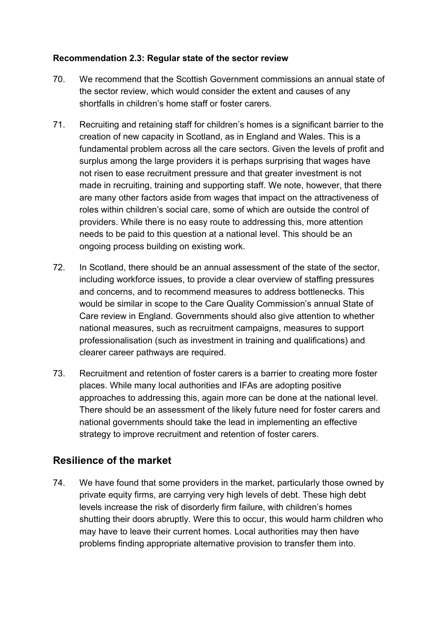#### **Recommendation 2.3: Regular state of the sector review**

- 70. We recommend that the Scottish Government commissions an annual state of the sector review, which would consider the extent and causes of any shortfalls in children's home staff or foster carers.
- 71. Recruiting and retaining staff for children's homes is a significant barrier to the creation of new capacity in Scotland, as in England and Wales. This is a fundamental problem across all the care sectors. Given the levels of profit and surplus among the large providers it is perhaps surprising that wages have not risen to ease recruitment pressure and that greater investment is not made in recruiting, training and supporting staff. We note, however, that there are many other factors aside from wages that impact on the attractiveness of roles within children's social care, some of which are outside the control of providers. While there is no easy route to addressing this, more attention needs to be paid to this question at a national level. This should be an ongoing process building on existing work.
- 72. In Scotland, there should be an annual assessment of the state of the sector, including workforce issues, to provide a clear overview of staffing pressures and concerns, and to recommend measures to address bottlenecks. This would be similar in scope to the Care Quality Commission's annual State of Care review in England. Governments should also give attention to whether national measures, such as recruitment campaigns, measures to support professionalisation (such as investment in training and qualifications) and clearer career pathways are required.
- 73. Recruitment and retention of foster carers is a barrier to creating more foster places. While many local authorities and IFAs are adopting positive approaches to addressing this, again more can be done at the national level. There should be an assessment of the likely future need for foster carers and national governments should take the lead in implementing an effective strategy to improve recruitment and retention of foster carers.

## **Resilience of the market**

74. We have found that some providers in the market, particularly those owned by private equity firms, are carrying very high levels of debt. These high debt levels increase the risk of disorderly firm failure, with children's homes shutting their doors abruptly. Were this to occur, this would harm children who may have to leave their current homes. Local authorities may then have problems finding appropriate alternative provision to transfer them into.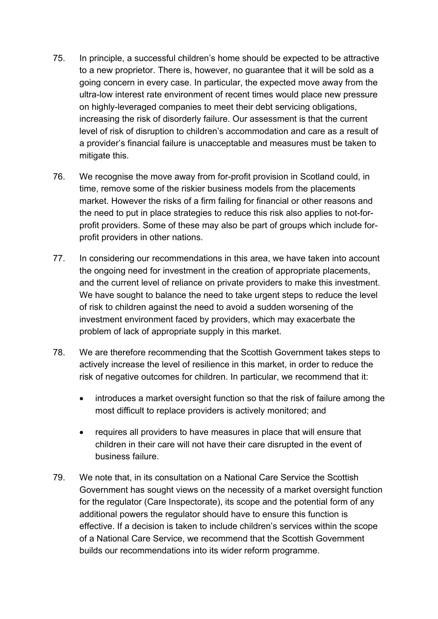- 75. In principle, a successful children's home should be expected to be attractive to a new proprietor. There is, however, no guarantee that it will be sold as a going concern in every case. In particular, the expected move away from the ultra-low interest rate environment of recent times would place new pressure on highly-leveraged companies to meet their debt servicing obligations, increasing the risk of disorderly failure. Our assessment is that the current level of risk of disruption to children's accommodation and care as a result of a provider's financial failure is unacceptable and measures must be taken to mitigate this.
- 76. We recognise the move away from for-profit provision in Scotland could, in time, remove some of the riskier business models from the placements market. However the risks of a firm failing for financial or other reasons and the need to put in place strategies to reduce this risk also applies to not-forprofit providers. Some of these may also be part of groups which include forprofit providers in other nations.
- 77. In considering our recommendations in this area, we have taken into account the ongoing need for investment in the creation of appropriate placements, and the current level of reliance on private providers to make this investment. We have sought to balance the need to take urgent steps to reduce the level of risk to children against the need to avoid a sudden worsening of the investment environment faced by providers, which may exacerbate the problem of lack of appropriate supply in this market.
- 78. We are therefore recommending that the Scottish Government takes steps to actively increase the level of resilience in this market, in order to reduce the risk of negative outcomes for children. In particular, we recommend that it:
	- introduces a market oversight function so that the risk of failure among the most difficult to replace providers is actively monitored; and
	- requires all providers to have measures in place that will ensure that children in their care will not have their care disrupted in the event of business failure.
- 79. We note that, in its consultation on a National Care Service the Scottish Government has sought views on the necessity of a market oversight function for the regulator (Care Inspectorate), its scope and the potential form of any additional powers the regulator should have to ensure this function is effective. If a decision is taken to include children's services within the scope of a National Care Service, we recommend that the Scottish Government builds our recommendations into its wider reform programme.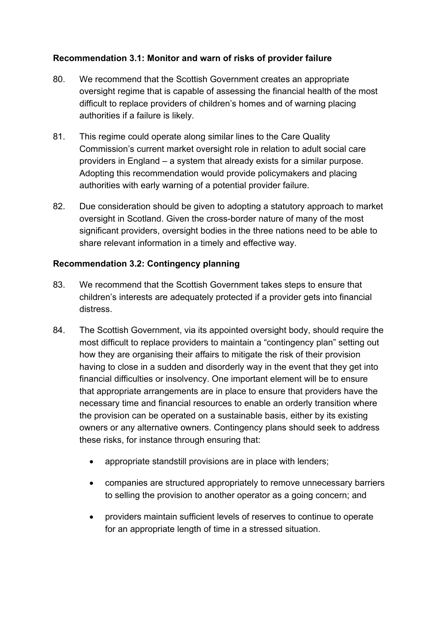#### **Recommendation 3.1: Monitor and warn of risks of provider failure**

- 80. We recommend that the Scottish Government creates an appropriate oversight regime that is capable of assessing the financial health of the most difficult to replace providers of children's homes and of warning placing authorities if a failure is likely.
- 81. This regime could operate along similar lines to the Care Quality Commission's current market oversight role in relation to adult social care providers in England – a system that already exists for a similar purpose. Adopting this recommendation would provide policymakers and placing authorities with early warning of a potential provider failure.
- 82. Due consideration should be given to adopting a statutory approach to market oversight in Scotland. Given the cross-border nature of many of the most significant providers, oversight bodies in the three nations need to be able to share relevant information in a timely and effective way.

#### **Recommendation 3.2: Contingency planning**

- 83. We recommend that the Scottish Government takes steps to ensure that children's interests are adequately protected if a provider gets into financial distress.
- 84. The Scottish Government, via its appointed oversight body, should require the most difficult to replace providers to maintain a "contingency plan" setting out how they are organising their affairs to mitigate the risk of their provision having to close in a sudden and disorderly way in the event that they get into financial difficulties or insolvency. One important element will be to ensure that appropriate arrangements are in place to ensure that providers have the necessary time and financial resources to enable an orderly transition where the provision can be operated on a sustainable basis, either by its existing owners or any alternative owners. Contingency plans should seek to address these risks, for instance through ensuring that:
	- appropriate standstill provisions are in place with lenders;
	- companies are structured appropriately to remove unnecessary barriers to selling the provision to another operator as a going concern; and
	- providers maintain sufficient levels of reserves to continue to operate for an appropriate length of time in a stressed situation.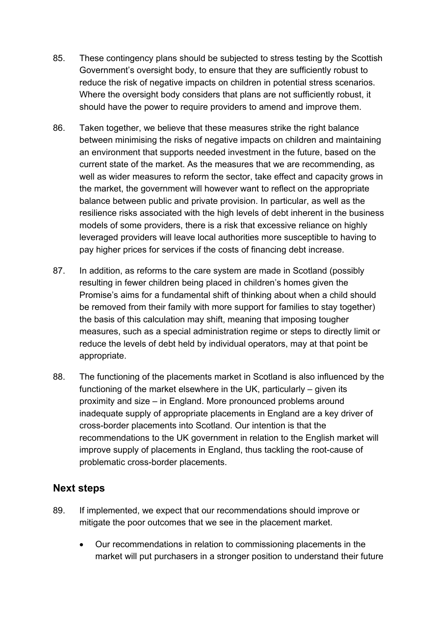- 85. These contingency plans should be subjected to stress testing by the Scottish Government's oversight body, to ensure that they are sufficiently robust to reduce the risk of negative impacts on children in potential stress scenarios. Where the oversight body considers that plans are not sufficiently robust, it should have the power to require providers to amend and improve them.
- 86. Taken together, we believe that these measures strike the right balance between minimising the risks of negative impacts on children and maintaining an environment that supports needed investment in the future, based on the current state of the market. As the measures that we are recommending, as well as wider measures to reform the sector, take effect and capacity grows in the market, the government will however want to reflect on the appropriate balance between public and private provision. In particular, as well as the resilience risks associated with the high levels of debt inherent in the business models of some providers, there is a risk that excessive reliance on highly leveraged providers will leave local authorities more susceptible to having to pay higher prices for services if the costs of financing debt increase.
- 87. In addition, as reforms to the care system are made in Scotland (possibly resulting in fewer children being placed in children's homes given the Promise's aims for a fundamental shift of thinking about when a child should be removed from their family with more support for families to stay together) the basis of this calculation may shift, meaning that imposing tougher measures, such as a special administration regime or steps to directly limit or reduce the levels of debt held by individual operators, may at that point be appropriate.
- 88. The functioning of the placements market in Scotland is also influenced by the functioning of the market elsewhere in the UK, particularly – given its proximity and size – in England. More pronounced problems around inadequate supply of appropriate placements in England are a key driver of cross-border placements into Scotland. Our intention is that the recommendations to the UK government in relation to the English market will improve supply of placements in England, thus tackling the root-cause of problematic cross-border placements.

#### **Next steps**

- 89. If implemented, we expect that our recommendations should improve or mitigate the poor outcomes that we see in the placement market.
	- Our recommendations in relation to commissioning placements in the market will put purchasers in a stronger position to understand their future